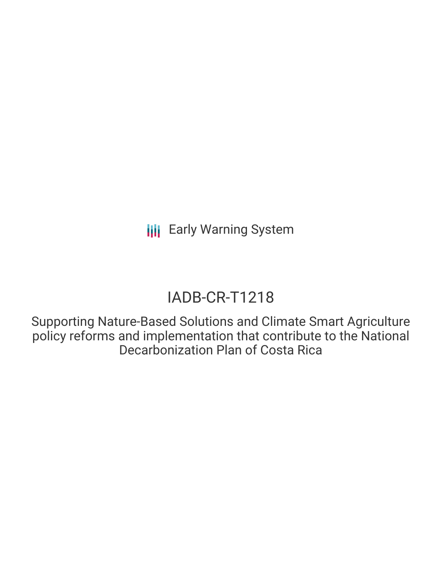# IADB-CR-T1218

Supporting Nature-Based Solutions and Climate Smart Agriculture policy reforms and implementation that contribute to the National Decarbonization Plan of Costa Rica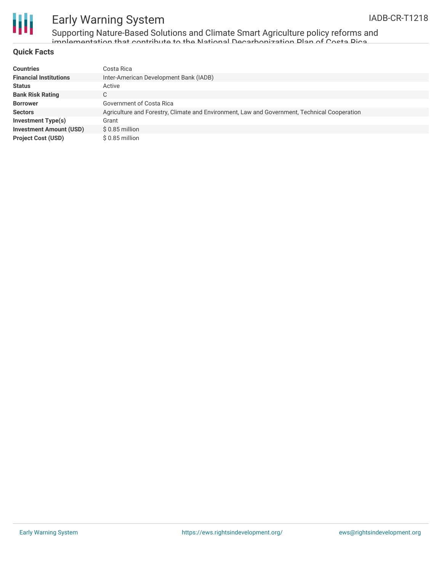

Supporting Nature-Based Solutions and Climate Smart Agriculture policy reforms and implementation that contribute to the National Decarbonization Plan of Costa Rica

### **Quick Facts**

| <b>Countries</b>               | Costa Rica                                                                                   |
|--------------------------------|----------------------------------------------------------------------------------------------|
| <b>Financial Institutions</b>  | Inter-American Development Bank (IADB)                                                       |
| <b>Status</b>                  | Active                                                                                       |
| <b>Bank Risk Rating</b>        | C                                                                                            |
| <b>Borrower</b>                | Government of Costa Rica                                                                     |
| <b>Sectors</b>                 | Agriculture and Forestry, Climate and Environment, Law and Government, Technical Cooperation |
| Investment Type(s)             | Grant                                                                                        |
| <b>Investment Amount (USD)</b> | $$0.85$ million                                                                              |
| <b>Project Cost (USD)</b>      | \$ 0.85 million                                                                              |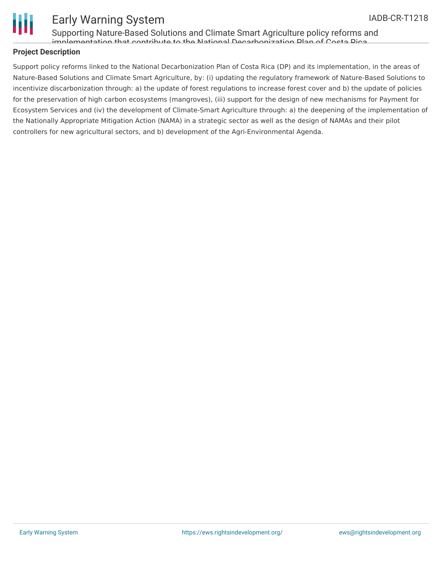

Supporting Nature-Based Solutions and Climate Smart Agriculture policy reforms and implementation that contribute to the National Decarbonization Plan of Costa Rica

## **Project Description**

Support policy reforms linked to the National Decarbonization Plan of Costa Rica (DP) and its implementation, in the areas of Nature-Based Solutions and Climate Smart Agriculture, by: (i) updating the regulatory framework of Nature-Based Solutions to incentivize discarbonization through: a) the update of forest regulations to increase forest cover and b) the update of policies for the preservation of high carbon ecosystems (mangroves), (iii) support for the design of new mechanisms for Payment for Ecosystem Services and (iv) the development of Climate-Smart Agriculture through: a) the deepening of the implementation of the Nationally Appropriate Mitigation Action (NAMA) in a strategic sector as well as the design of NAMAs and their pilot controllers for new agricultural sectors, and b) development of the Agri-Environmental Agenda.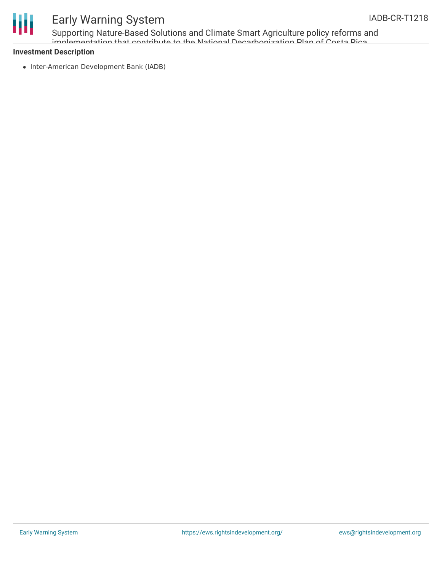

Supporting Nature-Based Solutions and Climate Smart Agriculture policy reforms and implementation that contribute to the National Decarbonization Plan of Costa Rica

### **Investment Description**

• Inter-American Development Bank (IADB)